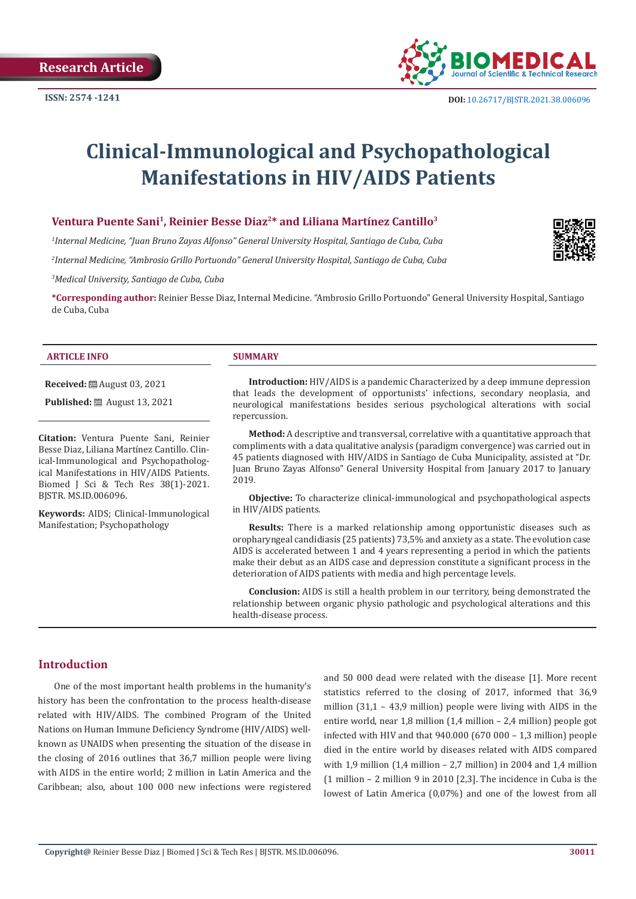

# **Clinical-Immunological and Psychopathological Manifestations in HIV/AIDS Patients**

#### Ventura Puente Sani<sup>1</sup>, Reinier Besse Diaz<sup>2\*</sup> and Liliana Martínez Cantillo<sup>3</sup>

*1 Internal Medicine, "Juan Bruno Zayas Alfonso" General University Hospital, Santiago de Cuba, Cuba*

*2 Internal Medicine, "Ambrosio Grillo Portuondo" General University Hospital, Santiago de Cuba, Cuba*

*3 Medical University, Santiago de Cuba, Cuba*

**\*Corresponding author:** Reinier Besse Diaz, Internal Medicine. "Ambrosio Grillo Portuondo" General University Hospital, Santiago de Cuba, Cuba

#### **ARTICLE INFO SUMMARY**

**Received:** August 03, 2021

**Published:** ■ August 13, 2021

**Citation:** Ventura Puente Sani, Reinier Besse Diaz, Liliana Martínez Cantillo. Clinical-Immunological and Psychopathological Manifestations in HIV/AIDS Patients. Biomed J Sci & Tech Res 38(1)-2021. BJSTR. MS.ID.006096.

**Keywords:** AIDS; Clinical-Immunological Manifestation; Psychopathology

**Introduction:** HIV/AIDS is a pandemic Characterized by a deep immune depression that leads the development of opportunists' infections, secondary neoplasia, and neurological manifestations besides serious psychological alterations with social repercussion.

**Method:** A descriptive and transversal, correlative with a quantitative approach that compliments with a data qualitative analysis (paradigm convergence) was carried out in 45 patients diagnosed with HIV/AIDS in Santiago de Cuba Municipality, assisted at "Dr. Juan Bruno Zayas Alfonso" General University Hospital from January 2017 to January 2019.

**Objective:** To characterize clinical-immunological and psychopathological aspects in HIV/AIDS patients.

**Results:** There is a marked relationship among opportunistic diseases such as oropharyngeal candidiasis (25 patients) 73,5% and anxiety as a state. The evolution case AIDS is accelerated between 1 and 4 years representing a period in which the patients make their debut as an AIDS case and depression constitute a significant process in the deterioration of AIDS patients with media and high percentage levels.

**Conclusion:** AIDS is still a health problem in our territory, being demonstrated the relationship between organic physio pathologic and psychological alterations and this health-disease process.

#### **Introduction**

One of the most important health problems in the humanity's history has been the confrontation to the process health-disease related with HIV/AIDS. The combined Program of the United Nations on Human Immune Deficiency Syndrome (HIV/AIDS) wellknown as UNAIDS when presenting the situation of the disease in the closing of 2016 outlines that 36,7 million people were living with AIDS in the entire world; 2 million in Latin America and the Caribbean; also, about 100 000 new infections were registered

and 50 000 dead were related with the disease [1]. More recent statistics referred to the closing of 2017, informed that 36,9 million (31,1 – 43,9 million) people were living with AIDS in the entire world, near 1,8 million (1,4 million – 2,4 million) people got infected with HIV and that 940.000 (670 000 – 1,3 million) people died in the entire world by diseases related with AIDS compared with 1,9 million (1,4 million – 2,7 million) in 2004 and 1,4 million (1 million – 2 million 9 in 2010 [2,3]. The incidence in Cuba is the lowest of Latin America (0,07%) and one of the lowest from all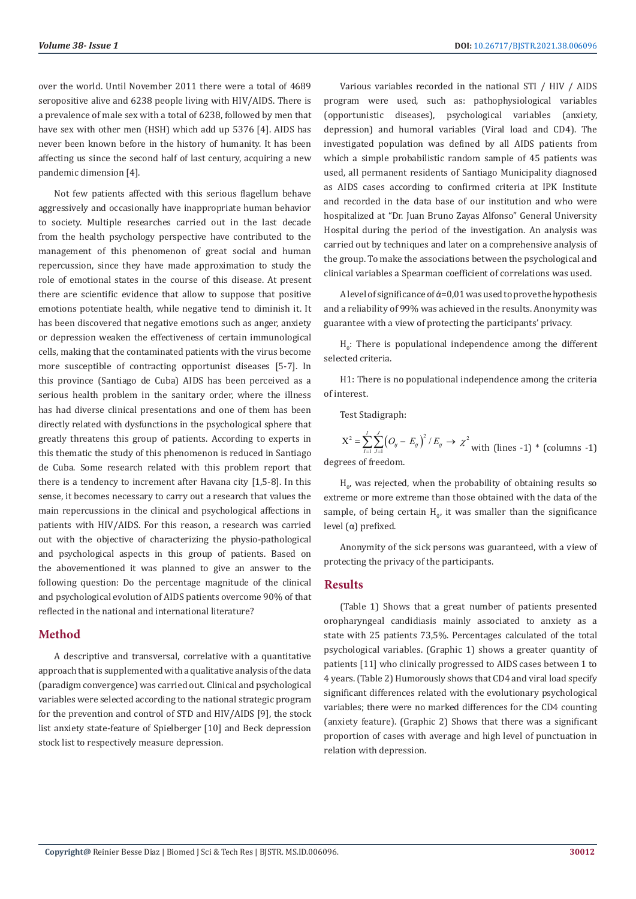over the world. Until November 2011 there were a total of 4689 seropositive alive and 6238 people living with HIV/AIDS. There is a prevalence of male sex with a total of 6238, followed by men that have sex with other men (HSH) which add up 5376 [4]. AIDS has never been known before in the history of humanity. It has been affecting us since the second half of last century, acquiring a new pandemic dimension [4].

Not few patients affected with this serious flagellum behave aggressively and occasionally have inappropriate human behavior to society. Multiple researches carried out in the last decade from the health psychology perspective have contributed to the management of this phenomenon of great social and human repercussion, since they have made approximation to study the role of emotional states in the course of this disease. At present there are scientific evidence that allow to suppose that positive emotions potentiate health, while negative tend to diminish it. It has been discovered that negative emotions such as anger, anxiety or depression weaken the effectiveness of certain immunological cells, making that the contaminated patients with the virus become more susceptible of contracting opportunist diseases [5-7]. In this province (Santiago de Cuba) AIDS has been perceived as a serious health problem in the sanitary order, where the illness has had diverse clinical presentations and one of them has been directly related with dysfunctions in the psychological sphere that greatly threatens this group of patients. According to experts in this thematic the study of this phenomenon is reduced in Santiago de Cuba. Some research related with this problem report that there is a tendency to increment after Havana city [1,5-8]. In this sense, it becomes necessary to carry out a research that values the main repercussions in the clinical and psychological affections in patients with HIV/AIDS. For this reason, a research was carried out with the objective of characterizing the physio-pathological and psychological aspects in this group of patients. Based on the abovementioned it was planned to give an answer to the following question: Do the percentage magnitude of the clinical and psychological evolution of AIDS patients overcome 90% of that reflected in the national and international literature?

## **Method**

A descriptive and transversal, correlative with a quantitative approach that is supplemented with a qualitative analysis of the data (paradigm convergence) was carried out. Clinical and psychological variables were selected according to the national strategic program for the prevention and control of STD and HIV/AIDS [9], the stock list anxiety state-feature of Spielberger [10] and Beck depression stock list to respectively measure depression.

Various variables recorded in the national STI / HIV / AIDS program were used, such as: pathophysiological variables (opportunistic diseases), psychological variables (anxiety, depression) and humoral variables (Viral load and CD4). The investigated population was defined by all AIDS patients from which a simple probabilistic random sample of 45 patients was used, all permanent residents of Santiago Municipality diagnosed as AIDS cases according to confirmed criteria at IPK Institute and recorded in the data base of our institution and who were hospitalized at "Dr. Juan Bruno Zayas Alfonso" General University Hospital during the period of the investigation. An analysis was carried out by techniques and later on a comprehensive analysis of the group. To make the associations between the psychological and clinical variables a Spearman coefficient of correlations was used.

A level of significance of  $\acute{\alpha}$ =0,01 was used to prove the hypothesis and a reliability of 99% was achieved in the results. Anonymity was guarantee with a view of protecting the participants' privacy.

 $H_0$ : There is populational independence among the different selected criteria.

H1: There is no populational independence among the criteria of interest.

Test Stadigraph:

 $\mathcal{L}^2 = \sum_{i} \sum_{j}^{3} (O_{ii} - E_{ii})^2 / E_{ii} \rightarrow \chi^2$  $\sum_{j=1}^{I} \sum_{j=1}^{J} (O_{ij} - E_{ij})^2 / E_{ij} \rightarrow$  $X^2 = \sum_{i=1}^{n} \sum_{j=1}^{n} (O_{ij} - E_{ij})^2 / E_{ij} \rightarrow \chi^2$  with (lines -1) \* (columns -1) degrees of freedom.

 $H_{0}$ , was rejected, when the probability of obtaining results so extreme or more extreme than those obtained with the data of the sample, of being certain  $H_{0'}$  it was smaller than the significance level (α) prefixed.

Anonymity of the sick persons was guaranteed, with a view of protecting the privacy of the participants.

#### **Results**

(Table 1) Shows that a great number of patients presented oropharyngeal candidiasis mainly associated to anxiety as a state with 25 patients 73,5%. Percentages calculated of the total psychological variables. (Graphic 1) shows a greater quantity of patients [11] who clinically progressed to AIDS cases between 1 to 4 years. (Table 2) Humorously shows that CD4 and viral load specify significant differences related with the evolutionary psychological variables; there were no marked differences for the CD4 counting (anxiety feature). (Graphic 2) Shows that there was a significant proportion of cases with average and high level of punctuation in relation with depression.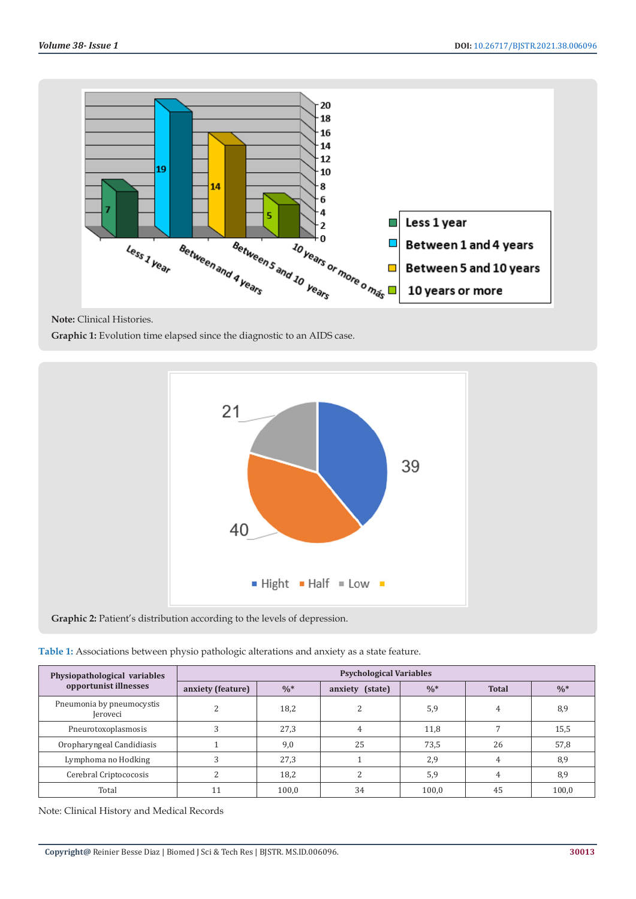

**Note:** Clinical Histories.

**Graphic 1:** Evolution time elapsed since the diagnostic to an AIDS case.



**Graphic 2:** Patient's distribution according to the levels of depression.

| Table 1: Associations between physio pathologic alterations and anxiety as a state feature. |  |  |  |
|---------------------------------------------------------------------------------------------|--|--|--|
|                                                                                             |  |  |  |

| Physiopathological variables<br>opportunist illnesses | <b>Psychological Variables</b> |                 |                 |                 |              |                 |  |
|-------------------------------------------------------|--------------------------------|-----------------|-----------------|-----------------|--------------|-----------------|--|
|                                                       | anxiety (feature)              | $\frac{0}{6}$ * | anxiety (state) | $\frac{0}{6}$ * | <b>Total</b> | $\frac{0}{6}$ * |  |
| Pneumonia by pneumocystis<br>Jeroveci                 |                                | 18,2            |                 | 5,9             | 4            | 8,9             |  |
| Pneurotoxoplasmosis                                   |                                | 27,3            |                 | 11,8            |              | 15,5            |  |
| Oropharyngeal Candidiasis                             |                                | 9,0             | 25              | 73,5            | 26           | 57,8            |  |
| Lymphoma no Hodking                                   |                                | 27,3            |                 | 2,9             | 4            | 8,9             |  |
| Cerebral Criptococosis                                |                                | 18,2            |                 | 5,9             | 4            | 8,9             |  |
| Total                                                 | l 1                            | 100.0           | 34              | 100.0           | 45           | 100,0           |  |

Note: Clinical History and Medical Records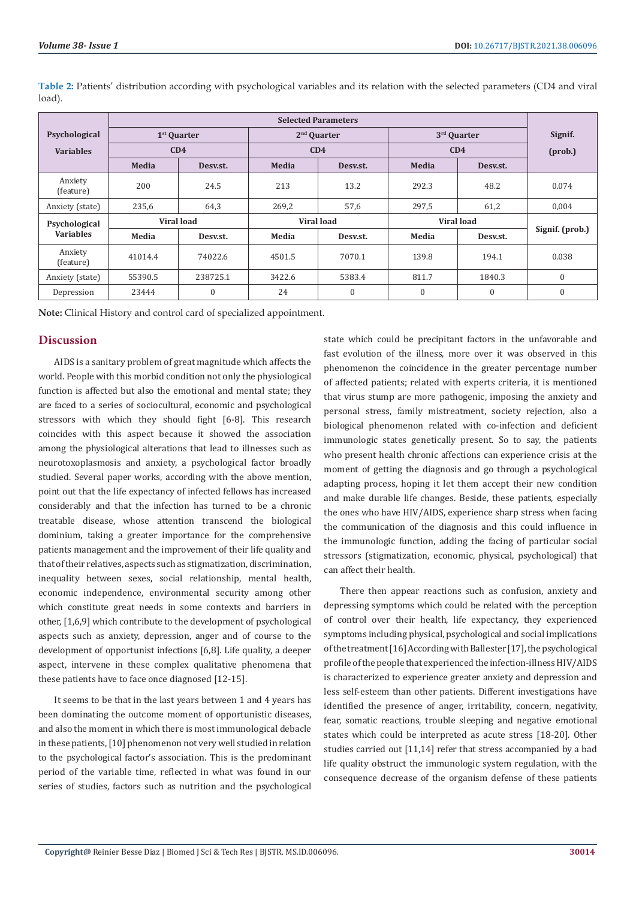|                                   | <b>Selected Parameters</b> |          |                         |          |                   |              |                      |
|-----------------------------------|----------------------------|----------|-------------------------|----------|-------------------|--------------|----------------------|
| Psychological                     | 1 <sup>st</sup> Quarter    |          | 2 <sup>nd</sup> Ouarter |          | 3rd Quarter       |              | Signif.<br>$(prob.)$ |
| <b>Variables</b>                  | CD4                        |          | CD4                     |          | CD4               |              |                      |
|                                   | Media                      | Desv.st. | Media                   | Desv.st. | Media             | Desv.st.     |                      |
| Anxiety<br>(feature)              | 200                        | 24.5     | 213                     | 13.2     | 292.3             | 48.2         | 0.074                |
| Anxiety (state)                   | 235,6                      | 64,3     | 269,2                   | 57,6     | 297,5             | 61,2         | 0,004                |
| Psychological<br><b>Variables</b> | <b>Viral load</b>          |          | Viral load              |          | <b>Viral load</b> |              |                      |
|                                   | Media                      | Desv.st. | Media                   | Desv.st. | Media             | Desv.st.     | Signif. (prob.)      |
| Anxiety<br>(feature)              | 41014.4                    | 74022.6  | 4501.5                  | 7070.1   | 139.8             | 194.1        | 0.038                |
| Anxiety (state)                   | 55390.5                    | 238725.1 | 3422.6                  | 5383.4   | 811.7             | 1840.3       | $\boldsymbol{0}$     |
| Depression                        | 23444                      | $\theta$ | 24                      | 0        | $\mathbf{0}$      | $\mathbf{0}$ | $\mathbf{0}$         |

**Table 2:** Patients' distribution according with psychological variables and its relation with the selected parameters (CD4 and viral load).

**Note:** Clinical History and control card of specialized appointment.

#### **Discussion**

AIDS is a sanitary problem of great magnitude which affects the world. People with this morbid condition not only the physiological function is affected but also the emotional and mental state; they are faced to a series of sociocultural, economic and psychological stressors with which they should fight [6-8]. This research coincides with this aspect because it showed the association among the physiological alterations that lead to illnesses such as neurotoxoplasmosis and anxiety, a psychological factor broadly studied. Several paper works, according with the above mention, point out that the life expectancy of infected fellows has increased considerably and that the infection has turned to be a chronic treatable disease, whose attention transcend the biological dominium, taking a greater importance for the comprehensive patients management and the improvement of their life quality and that of their relatives, aspects such as stigmatization, discrimination, inequality between sexes, social relationship, mental health, economic independence, environmental security among other which constitute great needs in some contexts and barriers in other, [1,6,9] which contribute to the development of psychological aspects such as anxiety, depression, anger and of course to the development of opportunist infections [6,8]. Life quality, a deeper aspect, intervene in these complex qualitative phenomena that these patients have to face once diagnosed [12-15].

It seems to be that in the last years between 1 and 4 years has been dominating the outcome moment of opportunistic diseases, and also the moment in which there is most immunological debacle in these patients, [10] phenomenon not very well studied in relation to the psychological factor's association. This is the predominant period of the variable time, reflected in what was found in our series of studies, factors such as nutrition and the psychological

state which could be precipitant factors in the unfavorable and fast evolution of the illness, more over it was observed in this phenomenon the coincidence in the greater percentage number of affected patients; related with experts criteria, it is mentioned that virus stump are more pathogenic, imposing the anxiety and personal stress, family mistreatment, society rejection, also a biological phenomenon related with co-infection and deficient immunologic states genetically present. So to say, the patients who present health chronic affections can experience crisis at the moment of getting the diagnosis and go through a psychological adapting process, hoping it let them accept their new condition and make durable life changes. Beside, these patients, especially the ones who have HIV/AIDS, experience sharp stress when facing the communication of the diagnosis and this could influence in the immunologic function, adding the facing of particular social stressors (stigmatization, economic, physical, psychological) that can affect their health.

There then appear reactions such as confusion, anxiety and depressing symptoms which could be related with the perception of control over their health, life expectancy, they experienced symptoms including physical, psychological and social implications of the treatment [16] According with Ballester [17], the psychological profile of the people that experienced the infection-illness HIV/AIDS is characterized to experience greater anxiety and depression and less self-esteem than other patients. Different investigations have identified the presence of anger, irritability, concern, negativity, fear, somatic reactions, trouble sleeping and negative emotional states which could be interpreted as acute stress [18-20]. Other studies carried out [11,14] refer that stress accompanied by a bad life quality obstruct the immunologic system regulation, with the consequence decrease of the organism defense of these patients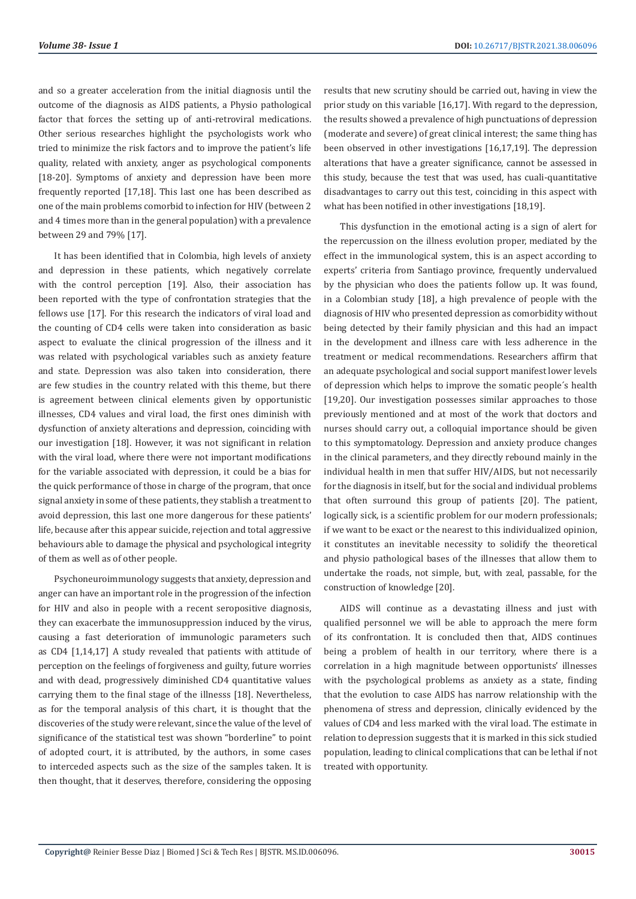and so a greater acceleration from the initial diagnosis until the outcome of the diagnosis as AIDS patients, a Physio pathological factor that forces the setting up of anti-retroviral medications. Other serious researches highlight the psychologists work who tried to minimize the risk factors and to improve the patient's life quality, related with anxiety, anger as psychological components [18-20]. Symptoms of anxiety and depression have been more frequently reported [17,18]. This last one has been described as one of the main problems comorbid to infection for HIV (between 2 and 4 times more than in the general population) with a prevalence between 29 and 79% [17].

It has been identified that in Colombia, high levels of anxiety and depression in these patients, which negatively correlate with the control perception [19]. Also, their association has been reported with the type of confrontation strategies that the fellows use [17]. For this research the indicators of viral load and the counting of CD4 cells were taken into consideration as basic aspect to evaluate the clinical progression of the illness and it was related with psychological variables such as anxiety feature and state. Depression was also taken into consideration, there are few studies in the country related with this theme, but there is agreement between clinical elements given by opportunistic illnesses, CD4 values and viral load, the first ones diminish with dysfunction of anxiety alterations and depression, coinciding with our investigation [18]. However, it was not significant in relation with the viral load, where there were not important modifications for the variable associated with depression, it could be a bias for the quick performance of those in charge of the program, that once signal anxiety in some of these patients, they stablish a treatment to avoid depression, this last one more dangerous for these patients' life, because after this appear suicide, rejection and total aggressive behaviours able to damage the physical and psychological integrity of them as well as of other people.

Psychoneuroimmunology suggests that anxiety, depression and anger can have an important role in the progression of the infection for HIV and also in people with a recent seropositive diagnosis, they can exacerbate the immunosuppression induced by the virus, causing a fast deterioration of immunologic parameters such as CD4 [1,14,17] A study revealed that patients with attitude of perception on the feelings of forgiveness and guilty, future worries and with dead, progressively diminished CD4 quantitative values carrying them to the final stage of the illnesss [18]. Nevertheless, as for the temporal analysis of this chart, it is thought that the discoveries of the study were relevant, since the value of the level of significance of the statistical test was shown "borderline" to point of adopted court, it is attributed, by the authors, in some cases to interceded aspects such as the size of the samples taken. It is then thought, that it deserves, therefore, considering the opposing

results that new scrutiny should be carried out, having in view the prior study on this variable [16,17]. With regard to the depression, the results showed a prevalence of high punctuations of depression (moderate and severe) of great clinical interest; the same thing has been observed in other investigations [16,17,19]. The depression alterations that have a greater significance, cannot be assessed in this study, because the test that was used, has cuali-quantitative disadvantages to carry out this test, coinciding in this aspect with what has been notified in other investigations [18,19].

This dysfunction in the emotional acting is a sign of alert for the repercussion on the illness evolution proper, mediated by the effect in the immunological system, this is an aspect according to experts' criteria from Santiago province, frequently undervalued by the physician who does the patients follow up. It was found, in a Colombian study [18], a high prevalence of people with the diagnosis of HIV who presented depression as comorbidity without being detected by their family physician and this had an impact in the development and illness care with less adherence in the treatment or medical recommendations. Researchers affirm that an adequate psychological and social support manifest lower levels of depression which helps to improve the somatic people´s health [19,20]. Our investigation possesses similar approaches to those previously mentioned and at most of the work that doctors and nurses should carry out, a colloquial importance should be given to this symptomatology. Depression and anxiety produce changes in the clinical parameters, and they directly rebound mainly in the individual health in men that suffer HIV/AIDS, but not necessarily for the diagnosis in itself, but for the social and individual problems that often surround this group of patients [20]. The patient, logically sick, is a scientific problem for our modern professionals; if we want to be exact or the nearest to this individualized opinion, it constitutes an inevitable necessity to solidify the theoretical and physio pathological bases of the illnesses that allow them to undertake the roads, not simple, but, with zeal, passable, for the construction of knowledge [20].

AIDS will continue as a devastating illness and just with qualified personnel we will be able to approach the mere form of its confrontation. It is concluded then that, AIDS continues being a problem of health in our territory, where there is a correlation in a high magnitude between opportunists' illnesses with the psychological problems as anxiety as a state, finding that the evolution to case AIDS has narrow relationship with the phenomena of stress and depression, clinically evidenced by the values of CD4 and less marked with the viral load. The estimate in relation to depression suggests that it is marked in this sick studied population, leading to clinical complications that can be lethal if not treated with opportunity.